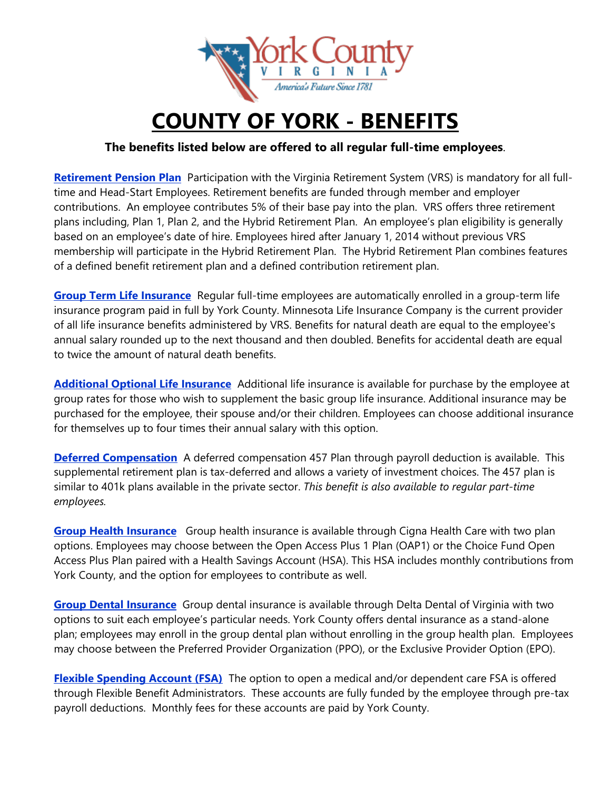

## **COUNTY OF YORK - BENEFITS**

## **The benefits listed below are offered to all regular full-time employees**.

**Retirement Pension Plan** Participation with the Virginia Retirement System (VRS) is mandatory for all fulltime and Head-Start Employees. Retirement benefits are funded through member and employer contributions. An employee contributes 5% of their base pay into the plan. VRS offers three retirement plans including, Plan 1, Plan 2, and the Hybrid Retirement Plan. An employee's plan eligibility is generally based on an employee's date of hire. Employees hired after January 1, 2014 without previous VRS membership will participate in the Hybrid Retirement Plan. The Hybrid Retirement Plan combines features of a defined benefit retirement plan and a defined contribution retirement plan.

**Group Term Life Insurance** Regular full-time employees are automatically enrolled in a group-term life insurance program paid in full by York County. Minnesota Life Insurance Company is the current provider of all life insurance benefits administered by VRS. Benefits for natural death are equal to the employee's annual salary rounded up to the next thousand and then doubled. Benefits for accidental death are equal to twice the amount of natural death benefits.

**Additional Optional Life Insurance** Additional life insurance is available for purchase by the employee at group rates for those who wish to supplement the basic group life insurance. Additional insurance may be purchased for the employee, their spouse and/or their children. Employees can choose additional insurance for themselves up to four times their annual salary with this option.

**Deferred Compensation** A deferred compensation 457 Plan through payroll deduction is available. This supplemental retirement plan is tax-deferred and allows a variety of investment choices. The 457 plan is similar to 401k plans available in the private sector. *This benefit is also available to regular part-time employees.*

**Group Health Insurance** Group health insurance is available through Cigna Health Care with two plan options. Employees may choose between the Open Access Plus 1 Plan (OAP1) or the Choice Fund Open Access Plus Plan paired with a Health Savings Account (HSA). This HSA includes monthly contributions from York County, and the option for employees to contribute as well.

**Group Dental Insurance** Group dental insurance is available through Delta Dental of Virginia with two options to suit each employee's particular needs. York County offers dental insurance as a stand-alone plan; employees may enroll in the group dental plan without enrolling in the group health plan. Employees may choose between the Preferred Provider Organization (PPO), or the Exclusive Provider Option (EPO).

**Flexible Spending Account (FSA)** The option to open a medical and/or dependent care FSA is offered through Flexible Benefit Administrators. These accounts are fully funded by the employee through pre-tax payroll deductions. Monthly fees for these accounts are paid by York County.